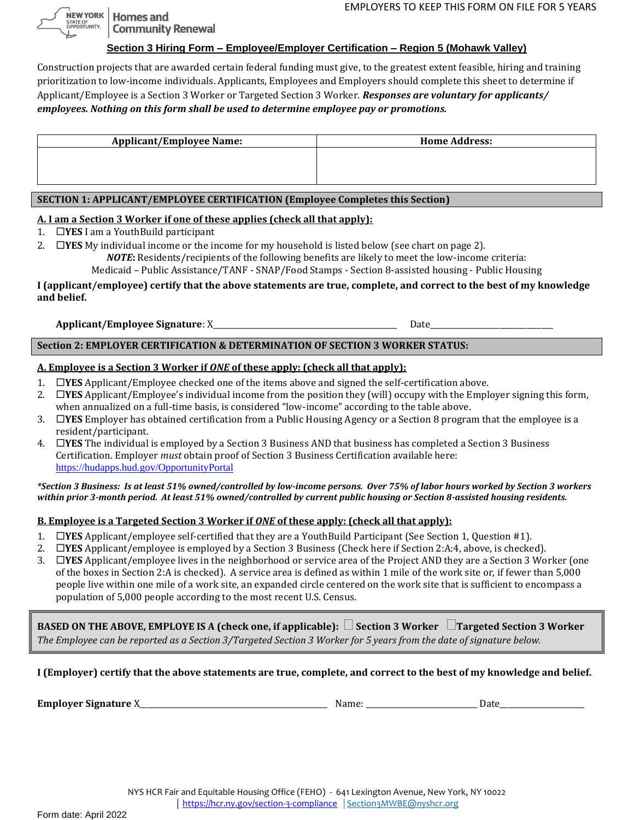**Homes and Community Renewal** 

NEW YORK

STATE OF<br>OPPORTUNITY.

## **Section 3 Hiring Form – Employee/Employer Certification – Region 5 (Mohawk Valley)**

Construction projects that are awarded certain federal funding must give, to the greatest extent feasible, hiring and training prioritization to low-income individuals. Applicants, Employees and Employers should complete this sheet to determine if Applicant/Employee is a Section 3 Worker or Targeted Section 3 Worker. *Responses are voluntary for applicants/ employees. Nothing on this form shall be used to determine employee pay or promotions.*

| <b>Applicant/Employee Name:</b> | <b>Home Address:</b> |
|---------------------------------|----------------------|
|                                 |                      |
|                                 |                      |
|                                 |                      |

## **SECTION 1: APPLICANT/EMPLOYEE CERTIFICATION (Employee Completes this Section)**

## **A. I am a Section 3 Worker if one of these applies (check all that apply):**

- 1. **YES** I am a YouthBuild participant
- 2.  $\Box$ **YES** My individual income or the income for my household is listed below (see chart on page 2).

*NOTE***:** Residents/recipients of the following benefits are likely to meet the low-income criteria:

Medicaid – Public Assistance/TANF - SNAP/Food Stamps - Section 8-assisted housing - Public Housing

## **I (applicant/employee) certify that the above statements are true, complete, and correct to the best of my knowledge and belief.**

**Applicant/Employee Signature**: X\_\_\_\_\_\_\_\_\_\_\_\_\_\_\_\_\_\_\_\_\_\_\_\_\_\_\_\_\_\_\_\_\_\_\_\_\_\_\_\_\_\_\_\_\_\_\_\_ Date\_\_\_\_\_\_\_\_\_\_\_\_\_\_\_\_\_\_\_\_\_\_\_\_\_\_\_\_\_\_\_\_

# **Section 2: EMPLOYER CERTIFICATION & DETERMINATION OF SECTION 3 WORKER STATUS:**

### **A. Employee is a Section 3 Worker if** *ONE* **of these apply: (check all that apply):**

- 1. **YES** Applicant/Employee checked one of the items above and signed the self-certification above.
- 2. **YES** Applicant/Employee's individual income from the position they (will) occupy with the Employer signing this form, when annualized on a full-time basis, is considered "low-income" according to the table above.
- 3. **YES** Employer has obtained certification from a Public Housing Agency or a Section 8 program that the employee is a resident/participant.
- 4. **YES** The individual is employed by a Section 3 Business AND that business has completed a Section 3 Business Certification. Employer *must* obtain proof of Section 3 Business Certification available here: [https://hudapps.hud.gov/OpportunityPortal](https://hudapps.hud.gov/OpportunityPortal/)

#### *\*Section 3 Business: Is at least 51% owned/controlled by low-income persons. Over 75% of labor hours worked by Section 3 workers within prior 3-month period. At least 51% owned/controlled by current public housing or Section 8-assisted housing residents.*

## **B. Employee is a Targeted Section 3 Worker if** *ONE* **of these apply: (check all that apply):**

- 1. **YES** Applicant/employee self-certified that they are a YouthBuild Participant (See Section 1, Question #1).
- 2. **YES** Applicant/employee is employed by a Section 3 Business (Check here if Section 2:A:4, above, is checked).
- 3. **YES** Applicant/employee lives in the neighborhood or service area of the Project AND they are a Section 3 Worker (one of the boxes in Section 2:A is checked). A service area is defined as within 1 mile of the work site or, if fewer than 5,000 people live within one mile of a work site, an expanded circle centered on the work site that is sufficient to encompass a population of 5,000 people according to the most recent U.S. Census.

BASED ON THE ABOVE, EMPLOYE IS A (check one, if applicable):  $\Box$  Section 3 Worker  $\Box$  Targeted Section 3 Worker *The Employee can be reported as a Section 3/Targeted Section 3 Worker for 5 years from the date of signature below.*

**I (Employer) certify that the above statements are true, complete, and correct to the best of my knowledge and belief.** 

**Employer Signature** X\_\_\_\_\_\_\_\_\_\_\_\_\_\_\_\_\_\_\_\_\_\_\_\_\_\_\_\_\_\_\_\_\_\_\_\_\_\_\_\_\_\_\_\_\_\_\_\_\_ Name: \_\_\_\_\_\_\_\_\_\_\_\_\_\_\_\_\_\_\_\_\_\_\_\_\_\_\_\_\_ Date\_\_\_\_\_\_\_\_\_\_\_\_\_\_\_\_\_\_\_\_\_\_